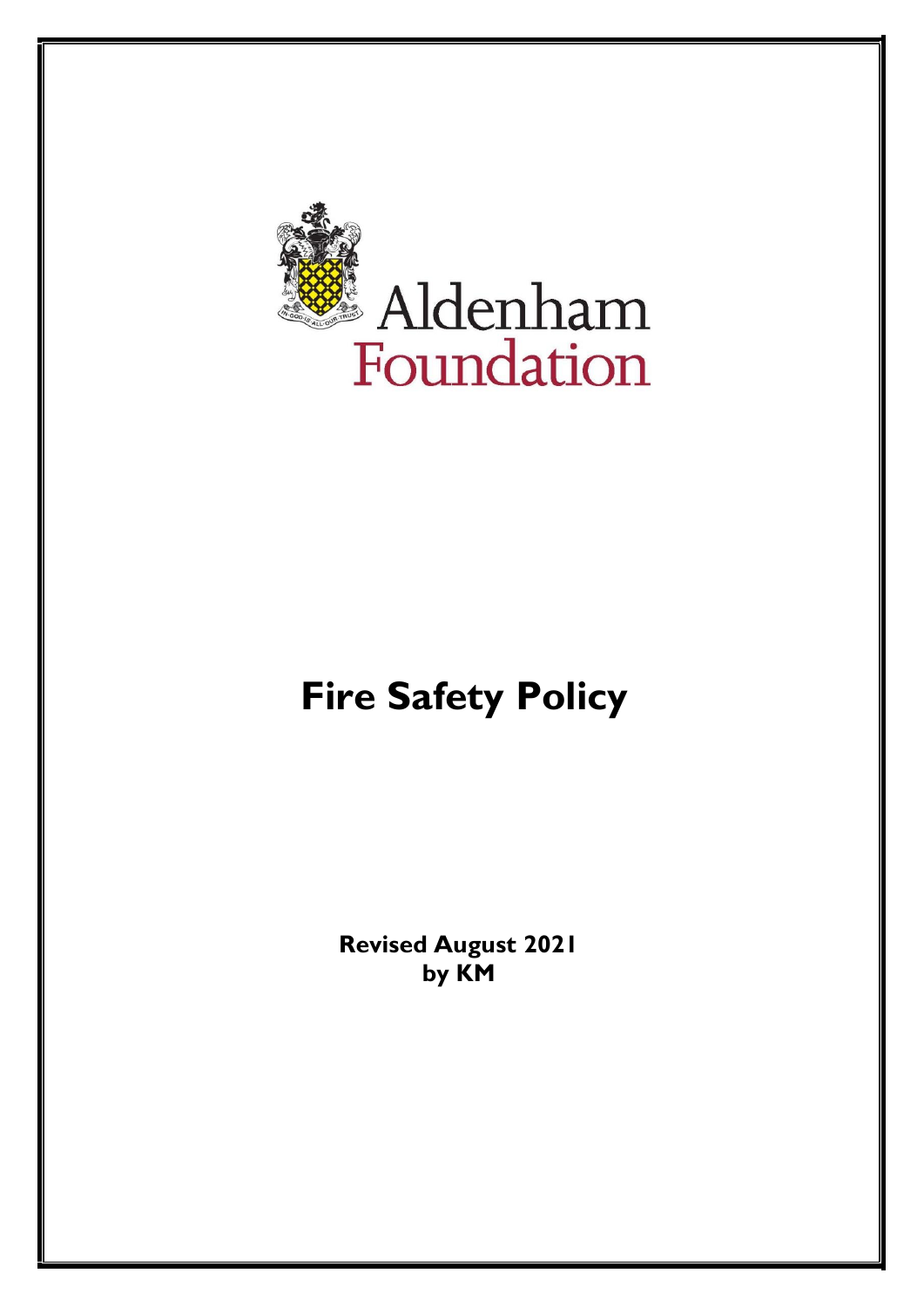

# **Fire Safety Policy**

**Revised August 2021 by KM**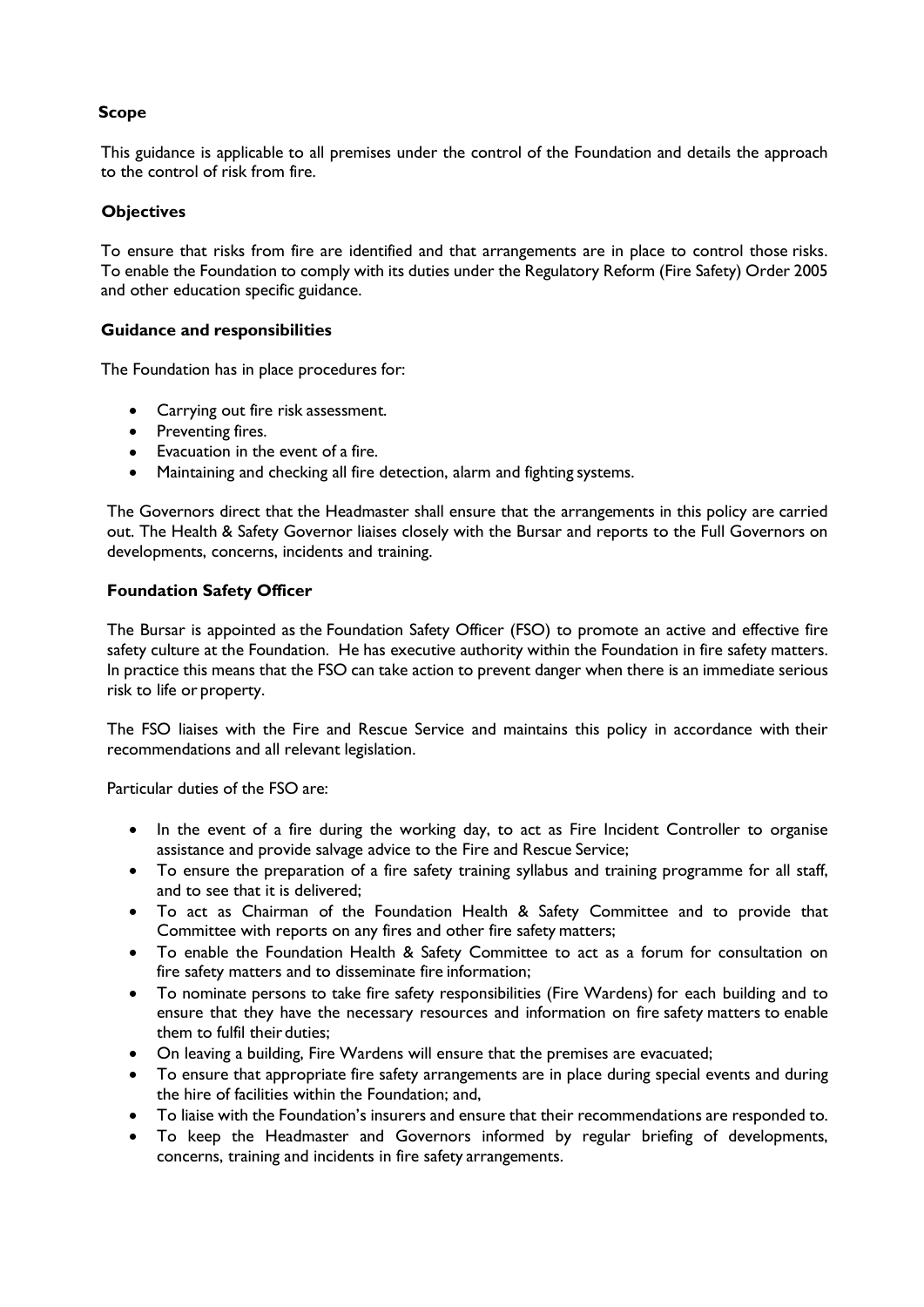# **Scope**

This guidance is applicable to all premises under the control of the Foundation and details the approach to the control of risk from fire.

# **Objectives**

To ensure that risks from fire are identified and that arrangements are in place to control those risks. To enable the Foundation to comply with its duties under the Regulatory Reform (Fire Safety) Order 2005 and other education specific guidance.

## **Guidance and responsibilities**

The Foundation has in place procedures for:

- Carrying out fire risk assessment.
- Preventing fires.
- Evacuation in the event of a fire.
- Maintaining and checking all fire detection, alarm and fighting systems.

The Governors direct that the Headmaster shall ensure that the arrangements in this policy are carried out. The Health & Safety Governor liaises closely with the Bursar and reports to the Full Governors on developments, concerns, incidents and training.

#### **Foundation Safety Officer**

The Bursar is appointed as the Foundation Safety Officer (FSO) to promote an active and effective fire safety culture at the Foundation. He has executive authority within the Foundation in fire safety matters. In practice this means that the FSO can take action to prevent danger when there is an immediate serious risk to life or property.

The FSO liaises with the Fire and Rescue Service and maintains this policy in accordance with their recommendations and all relevant legislation.

Particular duties of the FSO are:

- In the event of a fire during the working day, to act as Fire Incident Controller to organise assistance and provide salvage advice to the Fire and Rescue Service;
- To ensure the preparation of a fire safety training syllabus and training programme for all staff, and to see that it is delivered;
- To act as Chairman of the Foundation Health & Safety Committee and to provide that Committee with reports on any fires and other fire safety matters;
- To enable the Foundation Health & Safety Committee to act as a forum for consultation on fire safety matters and to disseminate fire information;
- To nominate persons to take fire safety responsibilities (Fire Wardens) for each building and to ensure that they have the necessary resources and information on fire safety matters to enable them to fulfil their duties;
- On leaving a building, Fire Wardens will ensure that the premises are evacuated;
- To ensure that appropriate fire safety arrangements are in place during special events and during the hire of facilities within the Foundation; and,
- To liaise with the Foundation's insurers and ensure that their recommendations are responded to.
- To keep the Headmaster and Governors informed by regular briefing of developments, concerns, training and incidents in fire safety arrangements.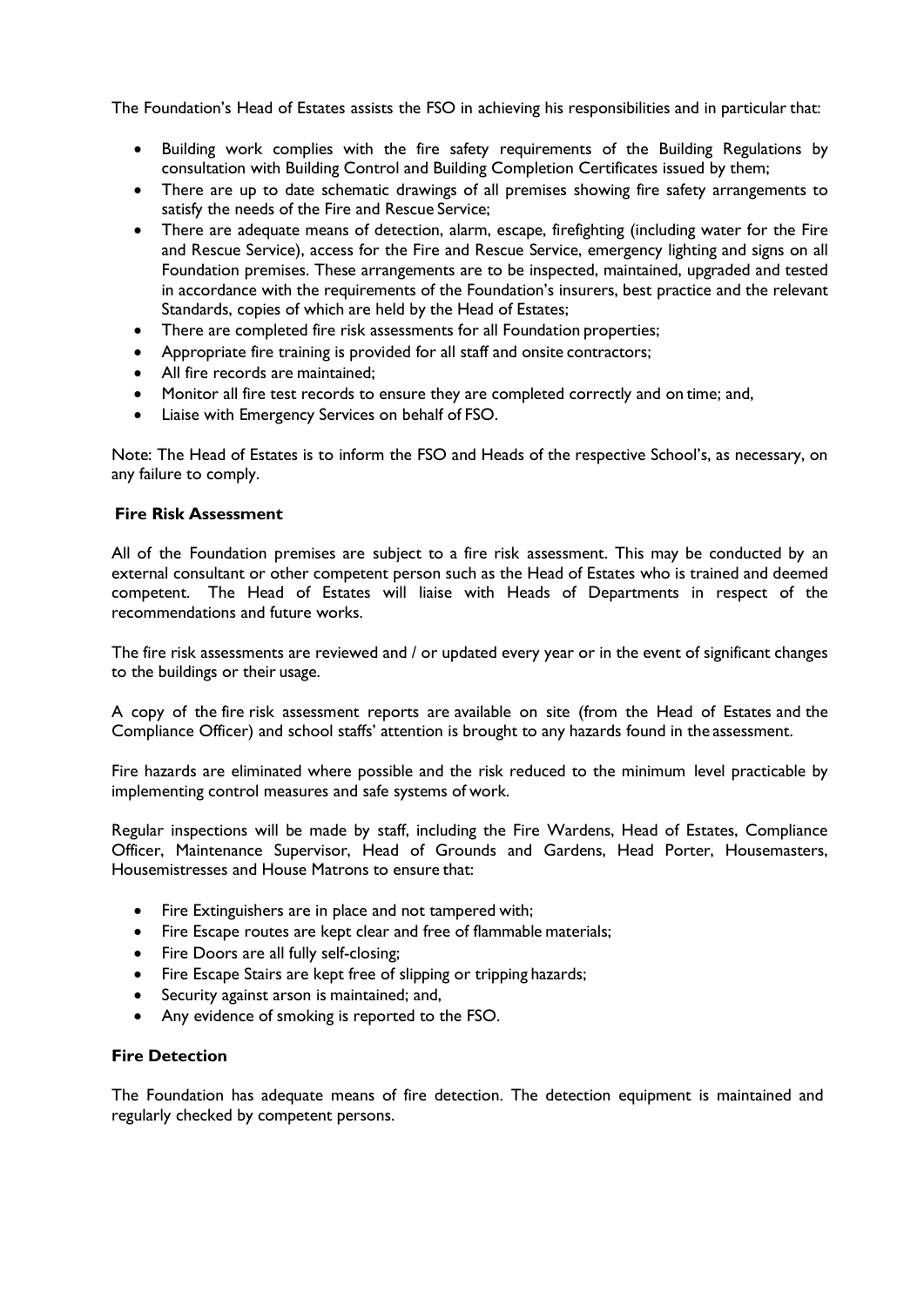The Foundation's Head of Estates assists the FSO in achieving his responsibilities and in particular that:

- Building work complies with the fire safety requirements of the Building Regulations by consultation with Building Control and Building Completion Certificates issued by them;
- There are up to date schematic drawings of all premises showing fire safety arrangements to satisfy the needs of the Fire and Rescue Service;
- There are adequate means of detection, alarm, escape, firefighting (including water for the Fire and Rescue Service), access for the Fire and Rescue Service, emergency lighting and signs on all Foundation premises. These arrangements are to be inspected, maintained, upgraded and tested in accordance with the requirements of the Foundation's insurers, best practice and the relevant Standards, copies of which are held by the Head of Estates;
- There are completed fire risk assessments for all Foundation properties;
- Appropriate fire training is provided for all staff and onsite contractors;
- All fire records are maintained;
- Monitor all fire test records to ensure they are completed correctly and on time; and,
- Liaise with Emergency Services on behalf of FSO.

Note: The Head of Estates is to inform the FSO and Heads of the respective School's, as necessary, on any failure to comply.

#### **Fire Risk Assessment**

All of the Foundation premises are subject to a fire risk assessment. This may be conducted by an external consultant or other competent person such as the Head of Estates who is trained and deemed competent. The Head of Estates will liaise with Heads of Departments in respect of the recommendations and future works.

The fire risk assessments are reviewed and / or updated every year or in the event of significant changes to the buildings or their usage.

A copy of the fire risk assessment reports are available on site (from the Head of Estates and the Compliance Officer) and school staffs' attention is brought to any hazards found in the assessment.

Fire hazards are eliminated where possible and the risk reduced to the minimum level practicable by implementing control measures and safe systems of work.

Regular inspections will be made by staff, including the Fire Wardens, Head of Estates, Compliance Officer, Maintenance Supervisor, Head of Grounds and Gardens, Head Porter, Housemasters, Housemistresses and House Matrons to ensure that:

- Fire Extinguishers are in place and not tampered with;
- Fire Escape routes are kept clear and free of flammable materials;
- Fire Doors are all fully self-closing;
- Fire Escape Stairs are kept free of slipping or tripping hazards;
- Security against arson is maintained; and,
- Any evidence of smoking is reported to the FSO.

#### **Fire Detection**

The Foundation has adequate means of fire detection. The detection equipment is maintained and regularly checked by competent persons.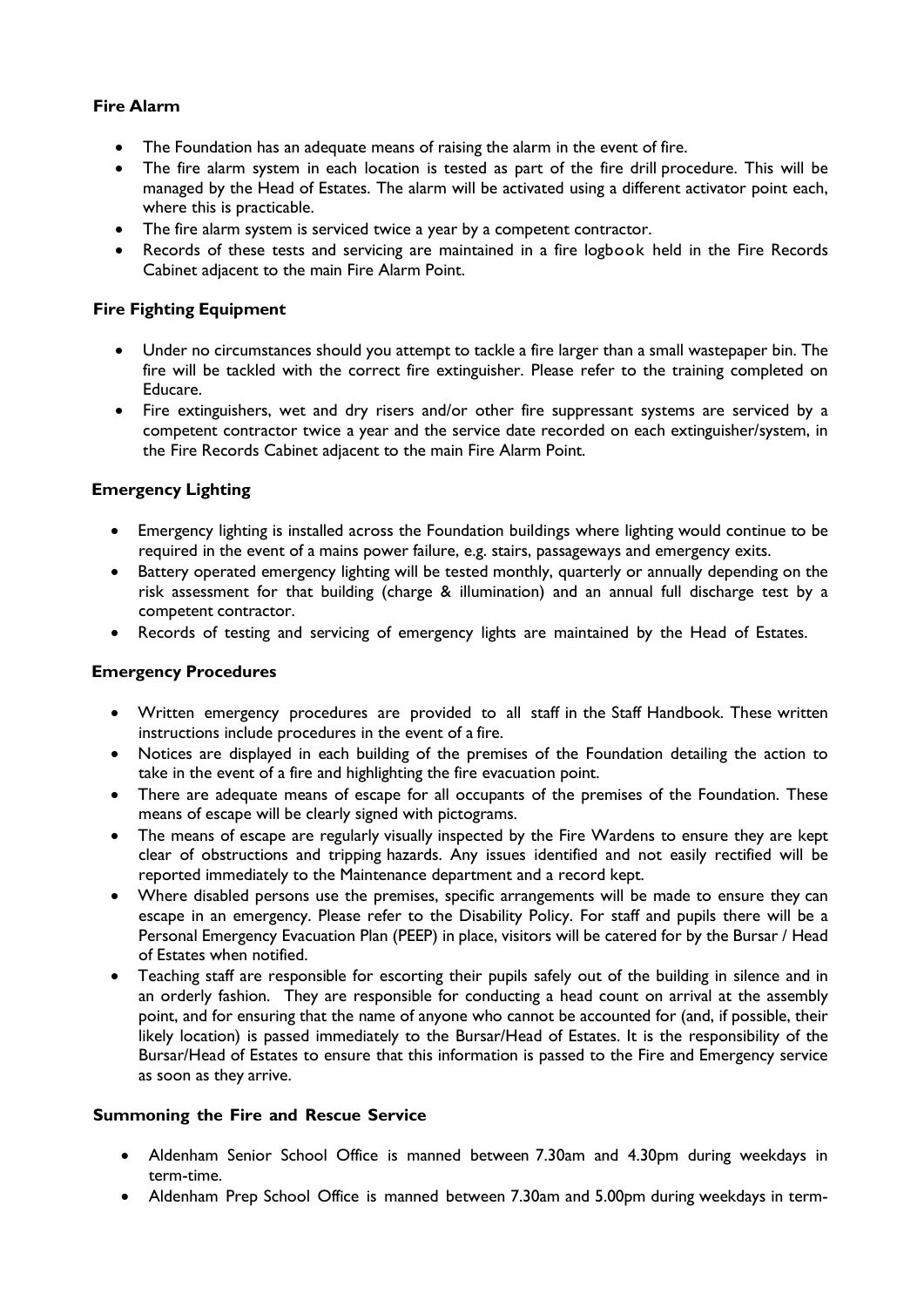# **Fire Alarm**

- The Foundation has an adequate means of raising the alarm in the event of fire.
- The fire alarm system in each location is tested as part of the fire drill procedure. This will be managed by the Head of Estates. The alarm will be activated using a different activator point each, where this is practicable.
- The fire alarm system is serviced twice a year by a competent contractor.
- Records of these tests and servicing are maintained in a fire logbook held in the Fire Records Cabinet adjacent to the main Fire Alarm Point.

## **Fire Fighting Equipment**

- Under no circumstances should you attempt to tackle a fire larger than a small wastepaper bin. The fire will be tackled with the correct fire extinguisher. Please refer to the training completed on Educare.
- Fire extinguishers, wet and dry risers and/or other fire suppressant systems are serviced by a competent contractor twice a year and the service date recorded on each extinguisher/system, in the Fire Records Cabinet adjacent to the main Fire Alarm Point.

#### **Emergency Lighting**

- Emergency lighting is installed across the Foundation buildings where lighting would continue to be required in the event of a mains power failure, e.g. stairs, passageways and emergency exits.
- Battery operated emergency lighting will be tested monthly, quarterly or annually depending on the risk assessment for that building (charge & illumination) and an annual full discharge test by a competent contractor.
- Records of testing and servicing of emergency lights are maintained by the Head of Estates.

#### **Emergency Procedures**

- Written emergency procedures are provided to all staff in the Staff Handbook. These written instructions include procedures in the event of a fire.
- Notices are displayed in each building of the premises of the Foundation detailing the action to take in the event of a fire and highlighting the fire evacuation point.
- There are adequate means of escape for all occupants of the premises of the Foundation. These means of escape will be clearly signed with pictograms.
- The means of escape are regularly visually inspected by the Fire Wardens to ensure they are kept clear of obstructions and tripping hazards. Any issues identified and not easily rectified will be reported immediately to the Maintenance department and a record kept.
- Where disabled persons use the premises, specific arrangements will be made to ensure they can escape in an emergency. Please refer to the Disability Policy. For staff and pupils there will be a Personal Emergency Evacuation Plan (PEEP) in place, visitors will be catered for by the Bursar / Head of Estates when notified.
- Teaching staff are responsible for escorting their pupils safely out of the building in silence and in an orderly fashion. They are responsible for conducting a head count on arrival at the assembly point, and for ensuring that the name of anyone who cannot be accounted for (and, if possible, their likely location) is passed immediately to the Bursar/Head of Estates. It is the responsibility of the Bursar/Head of Estates to ensure that this information is passed to the Fire and Emergency service as soon as they arrive.

#### **Summoning the Fire and Rescue Service**

- Aldenham Senior School Office is manned between 7.30am and 4.30pm during weekdays in term-time.
- Aldenham Prep School Office is manned between 7.30am and 5.00pm during weekdays in term-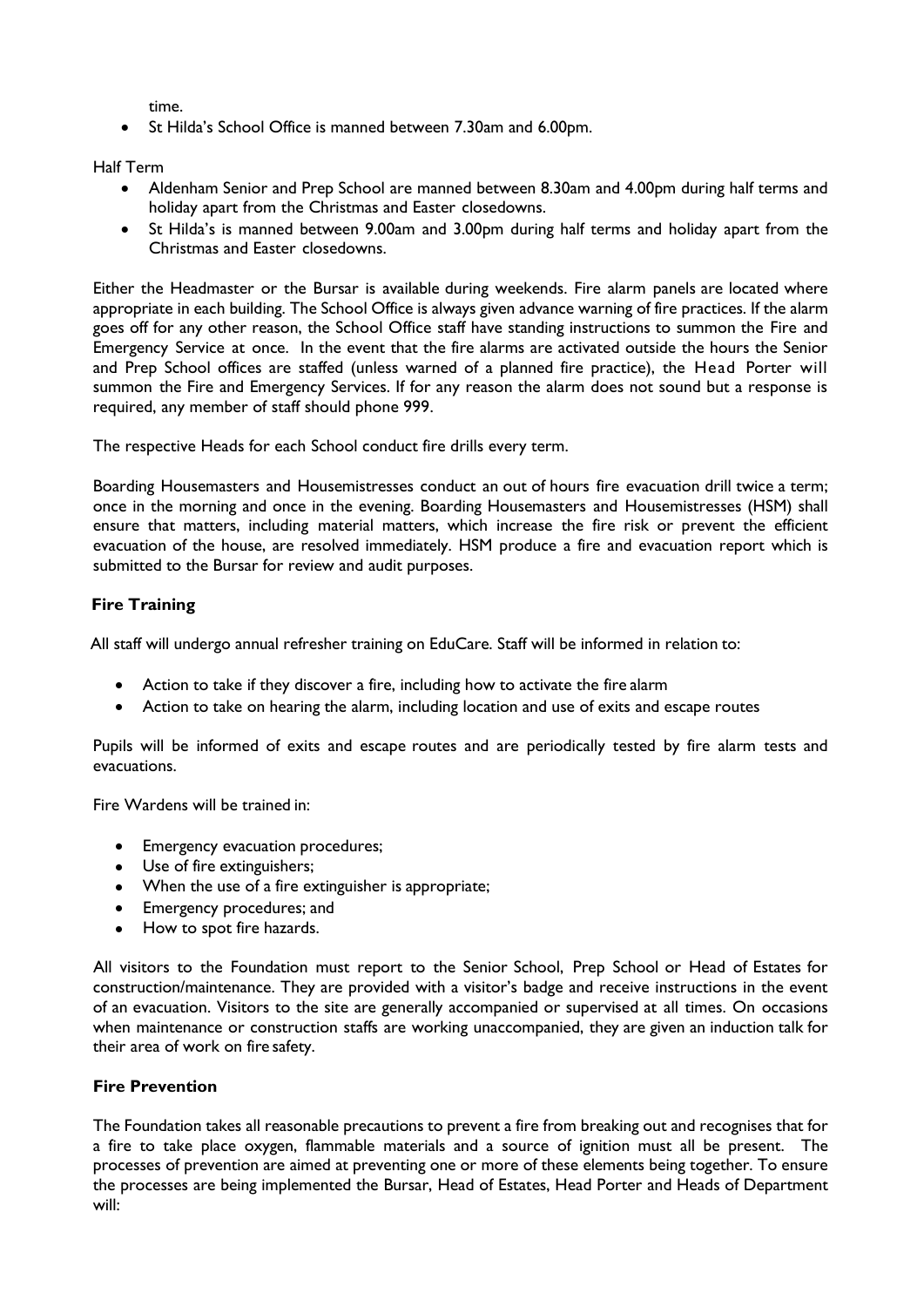time.

• St Hilda's School Office is manned between 7.30am and 6.00pm.

Half Term

- Aldenham Senior and Prep School are manned between 8.30am and 4.00pm during half terms and holiday apart from the Christmas and Easter closedowns.
- St Hilda's is manned between 9.00am and 3.00pm during half terms and holiday apart from the Christmas and Easter closedowns.

Either the Headmaster or the Bursar is available during weekends. Fire alarm panels are located where appropriate in each building. The School Office is always given advance warning of fire practices. If the alarm goes off for any other reason, the School Office staff have standing instructions to summon the Fire and Emergency Service at once. In the event that the fire alarms are activated outside the hours the Senior and Prep School offices are staffed (unless warned of a planned fire practice), the Head Porter will summon the Fire and Emergency Services. If for any reason the alarm does not sound but a response is required, any member of staff should phone 999.

The respective Heads for each School conduct fire drills every term.

Boarding Housemasters and Housemistresses conduct an out of hours fire evacuation drill twice a term; once in the morning and once in the evening. Boarding Housemasters and Housemistresses (HSM) shall ensure that matters, including material matters, which increase the fire risk or prevent the efficient evacuation of the house, are resolved immediately. HSM produce a fire and evacuation report which is submitted to the Bursar for review and audit purposes.

## **Fire Training**

All staff will undergo annual refresher training on EduCare. Staff will be informed in relation to:

- Action to take if they discover a fire, including how to activate the fire alarm
- Action to take on hearing the alarm, including location and use of exits and escape routes

Pupils will be informed of exits and escape routes and are periodically tested by fire alarm tests and evacuations.

Fire Wardens will be trained in:

- Emergency evacuation procedures;
- Use of fire extinguishers;
- When the use of a fire extinguisher is appropriate;
- Emergency procedures; and
- How to spot fire hazards.

All visitors to the Foundation must report to the Senior School, Prep School or Head of Estates for construction/maintenance. They are provided with a visitor's badge and receive instructions in the event of an evacuation. Visitors to the site are generally accompanied or supervised at all times. On occasions when maintenance or construction staffs are working unaccompanied, they are given an induction talk for their area of work on fire safety.

## **Fire Prevention**

The Foundation takes all reasonable precautions to prevent a fire from breaking out and recognises that for a fire to take place oxygen, flammable materials and a source of ignition must all be present. The processes of prevention are aimed at preventing one or more of these elements being together. To ensure the processes are being implemented the Bursar, Head of Estates, Head Porter and Heads of Department will: